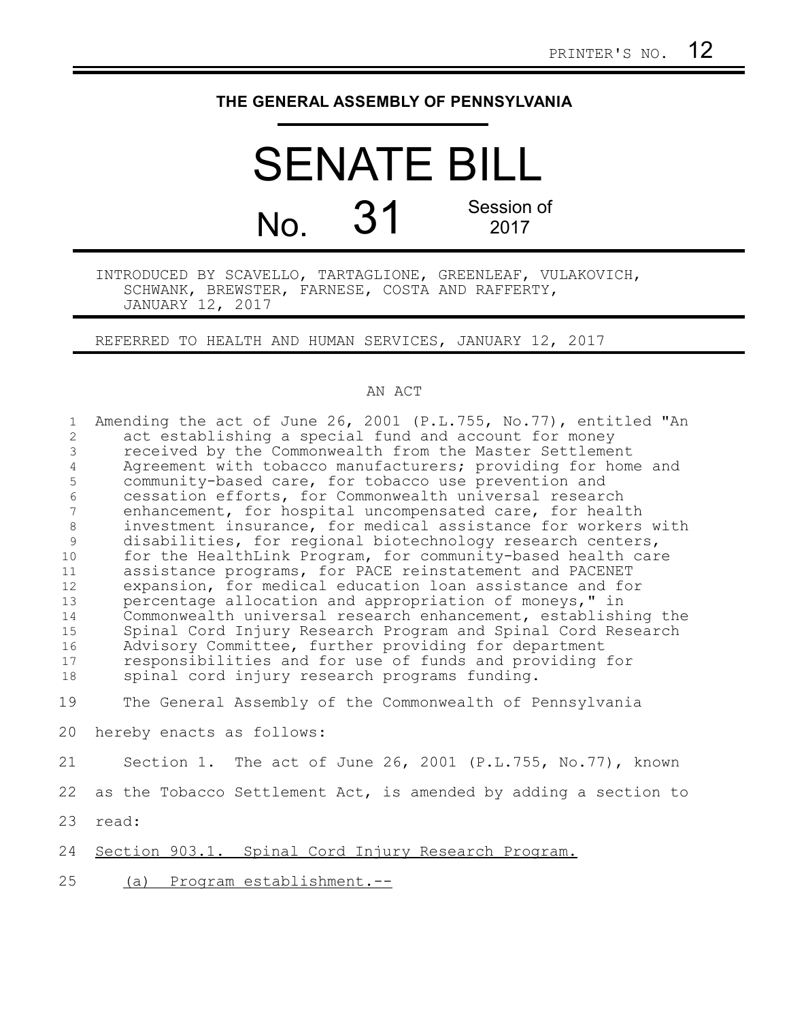## **THE GENERAL ASSEMBLY OF PENNSYLVANIA**

## SENATE BILL No. 31 Session of 2017

INTRODUCED BY SCAVELLO, TARTAGLIONE, GREENLEAF, VULAKOVICH, SCHWANK, BREWSTER, FARNESE, COSTA AND RAFFERTY, JANUARY 12, 2017

REFERRED TO HEALTH AND HUMAN SERVICES, JANUARY 12, 2017

## AN ACT

| $\mathbf{1}$   | Amending the act of June 26, 2001 (P.L.755, No.77), entitled "An                                         |
|----------------|----------------------------------------------------------------------------------------------------------|
| 2              | act establishing a special fund and account for money                                                    |
| 3              | received by the Commonwealth from the Master Settlement                                                  |
| $\overline{4}$ | Agreement with tobacco manufacturers; providing for home and                                             |
| 5              | community-based care, for tobacco use prevention and                                                     |
| 6              | cessation efforts, for Commonwealth universal research                                                   |
| $\overline{7}$ | enhancement, for hospital uncompensated care, for health                                                 |
| $8\,$          | investment insurance, for medical assistance for workers with                                            |
| 9              | disabilities, for regional biotechnology research centers,                                               |
| 10             | for the HealthLink Program, for community-based health care                                              |
| 11             | assistance programs, for PACE reinstatement and PACENET                                                  |
| 12             | expansion, for medical education loan assistance and for                                                 |
| 13             | percentage allocation and appropriation of moneys," in                                                   |
| 14             | Commonwealth universal research enhancement, establishing the                                            |
| 15             | Spinal Cord Injury Research Program and Spinal Cord Research                                             |
| 16             | Advisory Committee, further providing for department                                                     |
| 17             | responsibilities and for use of funds and providing for<br>spinal cord injury research programs funding. |
| 18             |                                                                                                          |
| 19             | The General Assembly of the Commonwealth of Pennsylvania                                                 |
| 20             | hereby enacts as follows:                                                                                |
| 21             | Section 1. The act of June 26, 2001 (P.L.755, No.77), known                                              |
| 22             | as the Tobacco Settlement Act, is amended by adding a section to                                         |
| 23             | read:                                                                                                    |
| 24             | Section 903.1. Spinal Cord Injury Research Program.                                                      |
| 25             | Program establishment.--<br>(a)                                                                          |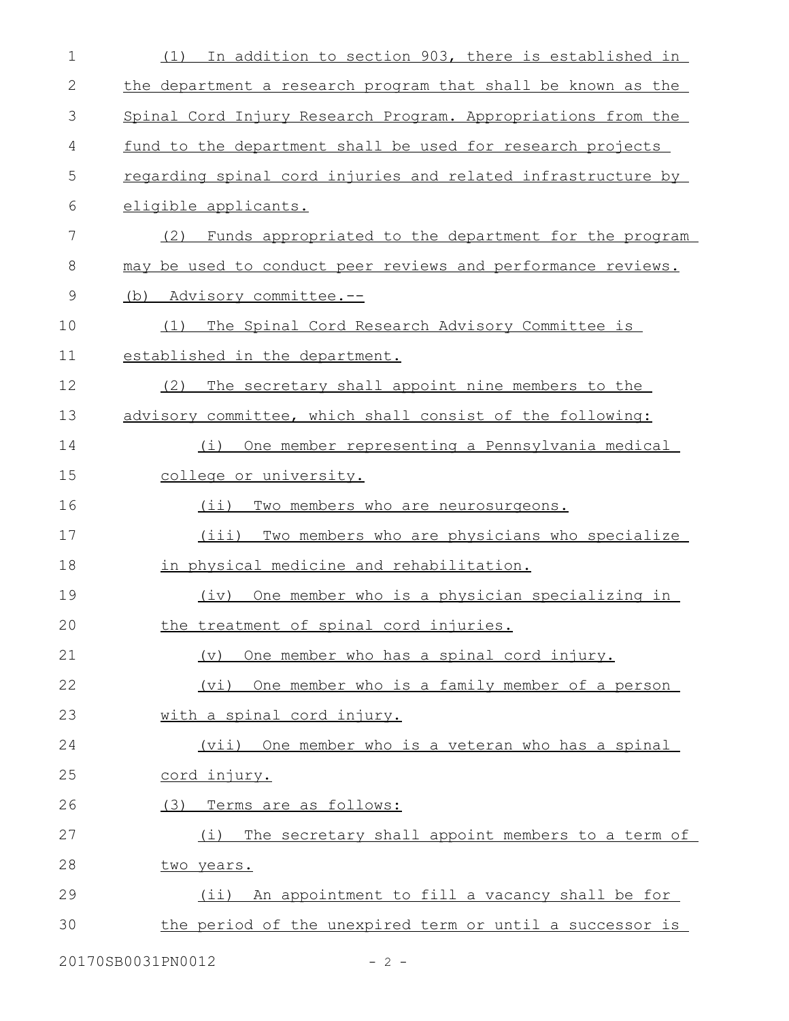| $\mathbf 1$  | In addition to section 903, there is established in<br>(1)    |
|--------------|---------------------------------------------------------------|
| $\mathbf{2}$ | the department a research program that shall be known as the  |
| 3            | Spinal Cord Injury Research Program. Appropriations from the  |
| 4            | fund to the department shall be used for research projects    |
| 5            | regarding spinal cord injuries and related infrastructure by  |
| 6            | eligible applicants.                                          |
| 7            | Funds appropriated to the department for the program<br>(2)   |
| 8            | may be used to conduct peer reviews and performance reviews.  |
| 9            | Advisory committee.--<br>(b)                                  |
| 10           | The Spinal Cord Research Advisory Committee is<br>(1)         |
| 11           | established in the department.                                |
| 12           | (2)<br>The secretary shall appoint nine members to the        |
| 13           | advisory committee, which shall consist of the following:     |
| 14           | One member representing a Pennsylvania medical<br>(i)         |
| 15           | college or university.                                        |
| 16           | $(i$ i)<br>Two members who are neurosurgeons.                 |
| 17           | (iii) Two members who are physicians who specialize           |
| 18           | in physical medicine and rehabilitation.                      |
| 19           | One member who is a physician specializing in<br>(iv)         |
| 20           | the treatment of spinal cord injuries.                        |
| 21           | One member who has a spinal cord injury.<br>$(\triangledown)$ |
| 22           | (vi) One member who is a family member of a person            |
| 23           | with a spinal cord injury.                                    |
| 24           | (vii) One member who is a veteran who has a spinal            |
| 25           | <u>cord injury.</u>                                           |
| 26           | (3) Terms are as follows:                                     |
| 27           | (i) The secretary shall appoint members to a term of          |
| 28           | two years.                                                    |
| 29           | (ii) An appointment to fill a vacancy shall be for            |
| 30           | the period of the unexpired term or until a successor is      |
|              |                                                               |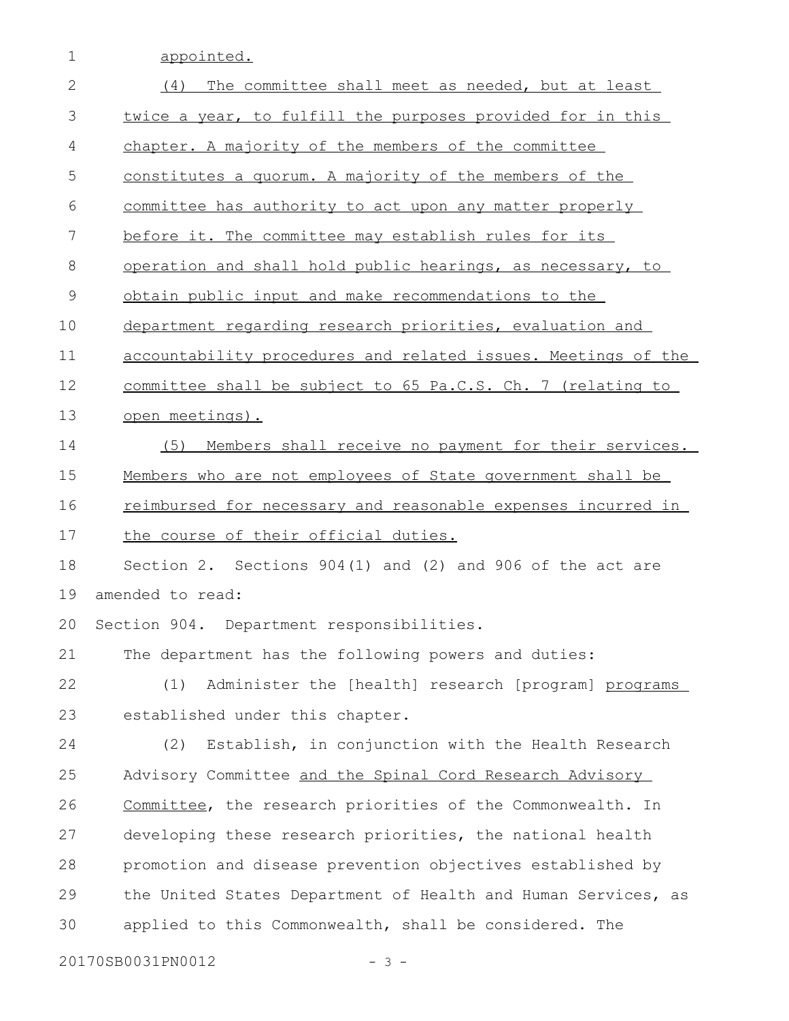1 appointed.

| $\mathbf{2}$ | (4)<br>The committee shall meet as needed, but at least       |
|--------------|---------------------------------------------------------------|
| 3            | twice a year, to fulfill the purposes provided for in this    |
| 4            | chapter. A majority of the members of the committee           |
| 5            | constitutes a quorum. A majority of the members of the        |
| 6            | committee has authority to act upon any matter properly       |
| 7            | before it. The committee may establish rules for its          |
| 8            | operation and shall hold public hearings, as necessary, to    |
| $\mathsf 9$  | obtain public input and make recommendations to the           |
| 10           | department regarding research priorities, evaluation and      |
| 11           | accountability procedures and related issues. Meetings of the |
| 12           | committee shall be subject to 65 Pa.C.S. Ch. 7 (relating to   |
| 13           | open meetings).                                               |
| 14           | Members shall receive no payment for their services.<br>(5)   |
| 15           | Members who are not employees of State government shall be    |
| 16           | reimbursed for necessary and reasonable expenses incurred in  |
| 17           | the course of their official duties.                          |
| 18           | Section 2. Sections $904(1)$ and (2) and 906 of the act are   |
| 19           | amended to read:                                              |
| 20           | Section 904. Department responsibilities.                     |
| 21           | The department has the following powers and duties:           |
| 22           | (1)<br>Administer the [health] research [program] programs    |
| 23           | established under this chapter.                               |
| 24           | Establish, in conjunction with the Health Research<br>(2)     |
| 25           | Advisory Committee and the Spinal Cord Research Advisory      |
| 26           | Committee, the research priorities of the Commonwealth. In    |
| 27           | developing these research priorities, the national health     |
| 28           | promotion and disease prevention objectives established by    |
| 29           | the United States Department of Health and Human Services, as |
| 30           | applied to this Commonwealth, shall be considered. The        |
|              |                                                               |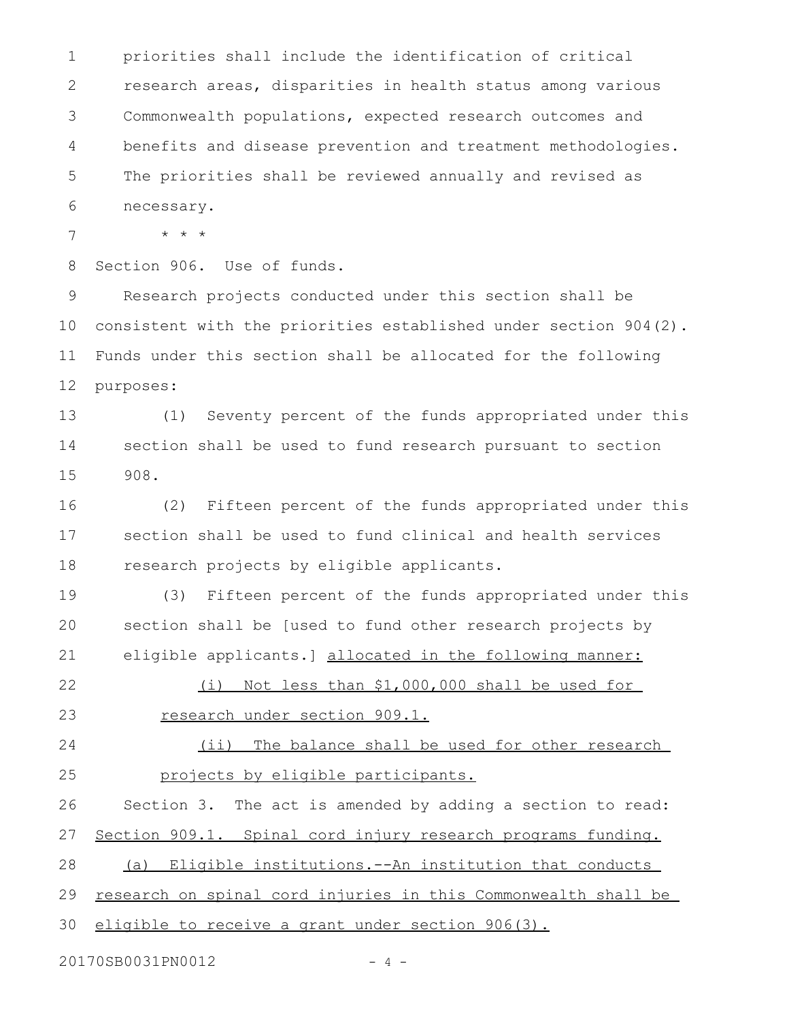priorities shall include the identification of critical research areas, disparities in health status among various Commonwealth populations, expected research outcomes and benefits and disease prevention and treatment methodologies. The priorities shall be reviewed annually and revised as necessary. 1 2 3 4 5 6

\* \* \* 7

Section 906. Use of funds. 8

Research projects conducted under this section shall be consistent with the priorities established under section 904(2). Funds under this section shall be allocated for the following purposes: 9 10 11 12

(1) Seventy percent of the funds appropriated under this section shall be used to fund research pursuant to section 908. 13 14 15

(2) Fifteen percent of the funds appropriated under this section shall be used to fund clinical and health services research projects by eligible applicants. 16 17 18

(3) Fifteen percent of the funds appropriated under this section shall be [used to fund other research projects by eligible applicants.] allocated in the following manner: 19 20 21

(i) Not less than \$1,000,000 shall be used for research under section 909.1. 22 23

(ii) The balance shall be used for other research projects by eligible participants. 24 25

Section 3. The act is amended by adding a section to read: Section 909.1. Spinal cord injury research programs funding. (a) Eligible institutions.--An institution that conducts research on spinal cord injuries in this Commonwealth shall be 26 27 28 29

eligible to receive a grant under section 906(3). 30

20170SB0031PN0012 - 4 -